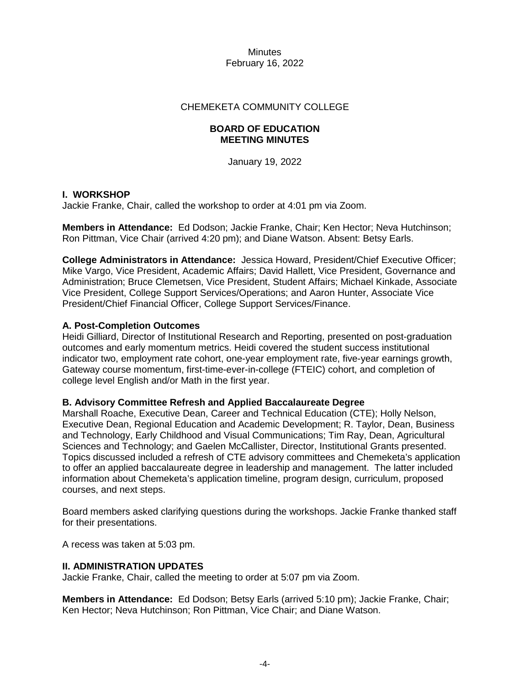## CHEMEKETA COMMUNITY COLLEGE

## **BOARD OF EDUCATION MEETING MINUTES**

January 19, 2022

## **I. WORKSHOP**

Jackie Franke, Chair, called the workshop to order at 4:01 pm via Zoom.

**Members in Attendance:** Ed Dodson; Jackie Franke, Chair; Ken Hector; Neva Hutchinson; Ron Pittman, Vice Chair (arrived 4:20 pm); and Diane Watson. Absent: Betsy Earls.

**College Administrators in Attendance:** Jessica Howard, President/Chief Executive Officer; Mike Vargo, Vice President, Academic Affairs; David Hallett, Vice President, Governance and Administration; Bruce Clemetsen, Vice President, Student Affairs; Michael Kinkade, Associate Vice President, College Support Services/Operations; and Aaron Hunter, Associate Vice President/Chief Financial Officer, College Support Services/Finance.

## **A. Post-Completion Outcomes**

Heidi Gilliard, Director of Institutional Research and Reporting, presented on post-graduation outcomes and early momentum metrics. Heidi covered the student success institutional indicator two, employment rate cohort, one-year employment rate, five-year earnings growth, Gateway course momentum, first-time-ever-in-college (FTEIC) cohort, and completion of college level English and/or Math in the first year.

## **B. Advisory Committee Refresh and Applied Baccalaureate Degree**

Marshall Roache, Executive Dean, Career and Technical Education (CTE); Holly Nelson, Executive Dean, Regional Education and Academic Development; R. Taylor, Dean, Business and Technology, Early Childhood and Visual Communications; Tim Ray, Dean, Agricultural Sciences and Technology; and Gaelen McCallister, Director, Institutional Grants presented. Topics discussed included a refresh of CTE advisory committees and Chemeketa's application to offer an applied baccalaureate degree in leadership and management. The latter included information about Chemeketa's application timeline, program design, curriculum, proposed courses, and next steps.

Board members asked clarifying questions during the workshops. Jackie Franke thanked staff for their presentations.

A recess was taken at 5:03 pm.

## **II. ADMINISTRATION UPDATES**

Jackie Franke, Chair, called the meeting to order at 5:07 pm via Zoom.

**Members in Attendance:** Ed Dodson; Betsy Earls (arrived 5:10 pm); Jackie Franke, Chair; Ken Hector; Neva Hutchinson; Ron Pittman, Vice Chair; and Diane Watson.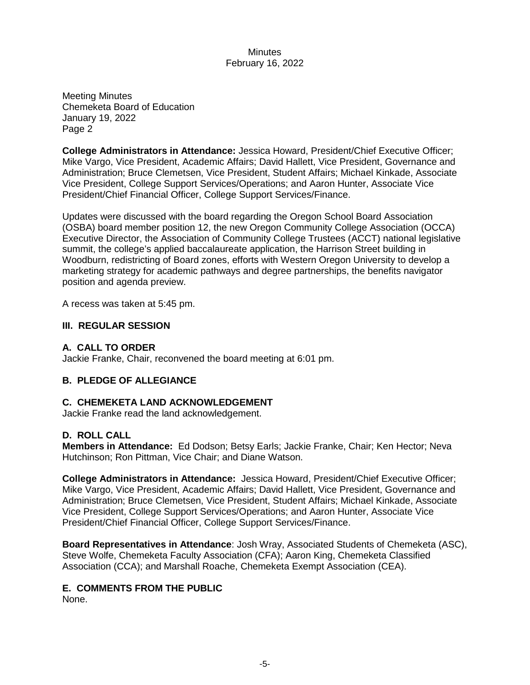Meeting Minutes Chemeketa Board of Education January 19, 2022 Page 2

**College Administrators in Attendance:** Jessica Howard, President/Chief Executive Officer; Mike Vargo, Vice President, Academic Affairs; David Hallett, Vice President, Governance and Administration; Bruce Clemetsen, Vice President, Student Affairs; Michael Kinkade, Associate Vice President, College Support Services/Operations; and Aaron Hunter, Associate Vice President/Chief Financial Officer, College Support Services/Finance.

Updates were discussed with the board regarding the Oregon School Board Association (OSBA) board member position 12, the new Oregon Community College Association (OCCA) Executive Director, the Association of Community College Trustees (ACCT) national legislative summit, the college's applied baccalaureate application, the Harrison Street building in Woodburn, redistricting of Board zones, efforts with Western Oregon University to develop a marketing strategy for academic pathways and degree partnerships, the benefits navigator position and agenda preview.

A recess was taken at 5:45 pm.

## **III. REGULAR SESSION**

# **A. CALL TO ORDER**

Jackie Franke, Chair, reconvened the board meeting at 6:01 pm.

# **B. PLEDGE OF ALLEGIANCE**

## **C. CHEMEKETA LAND ACKNOWLEDGEMENT**

Jackie Franke read the land acknowledgement.

## **D. ROLL CALL**

**Members in Attendance:** Ed Dodson; Betsy Earls; Jackie Franke, Chair; Ken Hector; Neva Hutchinson; Ron Pittman, Vice Chair; and Diane Watson.

**College Administrators in Attendance:** Jessica Howard, President/Chief Executive Officer; Mike Vargo, Vice President, Academic Affairs; David Hallett, Vice President, Governance and Administration; Bruce Clemetsen, Vice President, Student Affairs; Michael Kinkade, Associate Vice President, College Support Services/Operations; and Aaron Hunter, Associate Vice President/Chief Financial Officer, College Support Services/Finance.

**Board Representatives in Attendance**: Josh Wray, Associated Students of Chemeketa (ASC), Steve Wolfe, Chemeketa Faculty Association (CFA); Aaron King, Chemeketa Classified Association (CCA); and Marshall Roache, Chemeketa Exempt Association (CEA).

## **E. COMMENTS FROM THE PUBLIC**

None.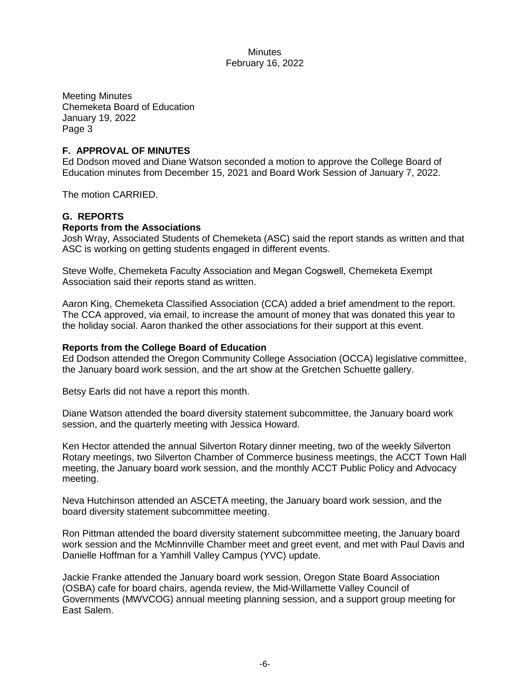Meeting Minutes Chemeketa Board of Education January 19, 2022 Page 3

## **F. APPROVAL OF MINUTES**

Ed Dodson moved and Diane Watson seconded a motion to approve the College Board of Education minutes from December 15, 2021 and Board Work Session of January 7, 2022.

The motion CARRIED.

# **G. REPORTS**

## **Reports from the Associations**

Josh Wray, Associated Students of Chemeketa (ASC) said the report stands as written and that ASC is working on getting students engaged in different events.

Steve Wolfe, Chemeketa Faculty Association and Megan Cogswell, Chemeketa Exempt Association said their reports stand as written.

Aaron King, Chemeketa Classified Association (CCA) added a brief amendment to the report. The CCA approved, via email, to increase the amount of money that was donated this year to the holiday social. Aaron thanked the other associations for their support at this event.

## **Reports from the College Board of Education**

Ed Dodson attended the Oregon Community College Association (OCCA) legislative committee, the January board work session, and the art show at the Gretchen Schuette gallery.

Betsy Earls did not have a report this month.

Diane Watson attended the board diversity statement subcommittee, the January board work session, and the quarterly meeting with Jessica Howard.

Ken Hector attended the annual Silverton Rotary dinner meeting, two of the weekly Silverton Rotary meetings, two Silverton Chamber of Commerce business meetings, the ACCT Town Hall meeting, the January board work session, and the monthly ACCT Public Policy and Advocacy meeting.

Neva Hutchinson attended an ASCETA meeting, the January board work session, and the board diversity statement subcommittee meeting.

Ron Pittman attended the board diversity statement subcommittee meeting, the January board work session and the McMinnville Chamber meet and greet event, and met with Paul Davis and Danielle Hoffman for a Yamhill Valley Campus (YVC) update.

Jackie Franke attended the January board work session, Oregon State Board Association (OSBA) cafe for board chairs, agenda review, the Mid-Willamette Valley Council of Governments (MWVCOG) annual meeting planning session, and a support group meeting for East Salem.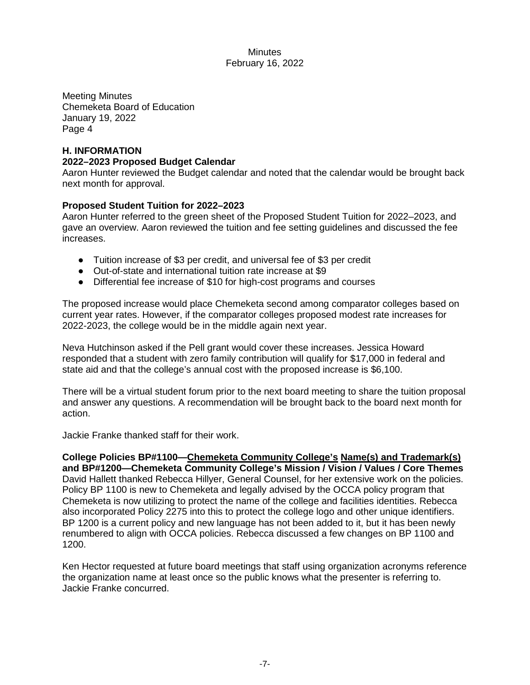Meeting Minutes Chemeketa Board of Education January 19, 2022 Page 4

# **H. INFORMATION 2022–2023 Proposed Budget Calendar**

Aaron Hunter reviewed the Budget calendar and noted that the calendar would be brought back next month for approval.

# **Proposed Student Tuition for 2022–2023**

Aaron Hunter referred to the green sheet of the Proposed Student Tuition for 2022–2023, and gave an overview. Aaron reviewed the tuition and fee setting guidelines and discussed the fee increases.

- Tuition increase of \$3 per credit, and universal fee of \$3 per credit
- Out-of-state and international tuition rate increase at \$9
- Differential fee increase of \$10 for high-cost programs and courses

The proposed increase would place Chemeketa second among comparator colleges based on current year rates. However, if the comparator colleges proposed modest rate increases for 2022-2023, the college would be in the middle again next year.

Neva Hutchinson asked if the Pell grant would cover these increases. Jessica Howard responded that a student with zero family contribution will qualify for \$17,000 in federal and state aid and that the college's annual cost with the proposed increase is \$6,100.

There will be a virtual student forum prior to the next board meeting to share the tuition proposal and answer any questions. A recommendation will be brought back to the board next month for action.

Jackie Franke thanked staff for their work.

**College Policies BP#1100—Chemeketa Community College's Name(s) and Trademark(s) and BP#1200—Chemeketa Community College's Mission / Vision / Values / Core Themes** David Hallett thanked Rebecca Hillyer, General Counsel, for her extensive work on the policies. Policy BP 1100 is new to Chemeketa and legally advised by the OCCA policy program that Chemeketa is now utilizing to protect the name of the college and facilities identities. Rebecca also incorporated Policy 2275 into this to protect the college logo and other unique identifiers. BP 1200 is a current policy and new language has not been added to it, but it has been newly renumbered to align with OCCA policies. Rebecca discussed a few changes on BP 1100 and 1200.

Ken Hector requested at future board meetings that staff using organization acronyms reference the organization name at least once so the public knows what the presenter is referring to. Jackie Franke concurred.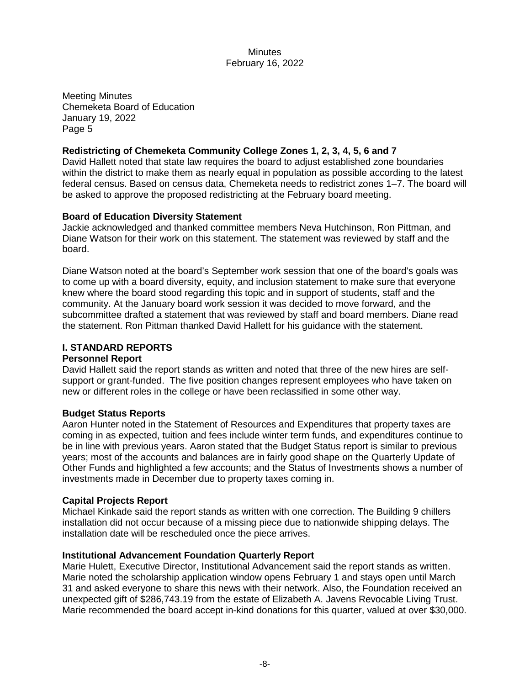Meeting Minutes Chemeketa Board of Education January 19, 2022 Page 5

# **Redistricting of Chemeketa Community College Zones 1, 2, 3, 4, 5, 6 and 7**

David Hallett noted that state law requires the board to adjust established zone boundaries within the district to make them as nearly equal in population as possible according to the latest federal census. Based on census data, Chemeketa needs to redistrict zones 1–7. The board will be asked to approve the proposed redistricting at the February board meeting.

## **Board of Education Diversity Statement**

Jackie acknowledged and thanked committee members Neva Hutchinson, Ron Pittman, and Diane Watson for their work on this statement. The statement was reviewed by staff and the board.

Diane Watson noted at the board's September work session that one of the board's goals was to come up with a board diversity, equity, and inclusion statement to make sure that everyone knew where the board stood regarding this topic and in support of students, staff and the community. At the January board work session it was decided to move forward, and the subcommittee drafted a statement that was reviewed by staff and board members. Diane read the statement. Ron Pittman thanked David Hallett for his guidance with the statement.

## **I. STANDARD REPORTS**

## **Personnel Report**

David Hallett said the report stands as written and noted that three of the new hires are selfsupport or grant-funded. The five position changes represent employees who have taken on new or different roles in the college or have been reclassified in some other way.

## **Budget Status Reports**

Aaron Hunter noted in the Statement of Resources and Expenditures that property taxes are coming in as expected, tuition and fees include winter term funds, and expenditures continue to be in line with previous years. Aaron stated that the Budget Status report is similar to previous years; most of the accounts and balances are in fairly good shape on the Quarterly Update of Other Funds and highlighted a few accounts; and the Status of Investments shows a number of investments made in December due to property taxes coming in.

## **Capital Projects Report**

Michael Kinkade said the report stands as written with one correction. The Building 9 chillers installation did not occur because of a missing piece due to nationwide shipping delays. The installation date will be rescheduled once the piece arrives.

## **Institutional Advancement Foundation Quarterly Report**

Marie Hulett, Executive Director, Institutional Advancement said the report stands as written. Marie noted the scholarship application window opens February 1 and stays open until March 31 and asked everyone to share this news with their network. Also, the Foundation received an unexpected gift of \$286,743.19 from the estate of Elizabeth A. Javens Revocable Living Trust. Marie recommended the board accept in-kind donations for this quarter, valued at over \$30,000.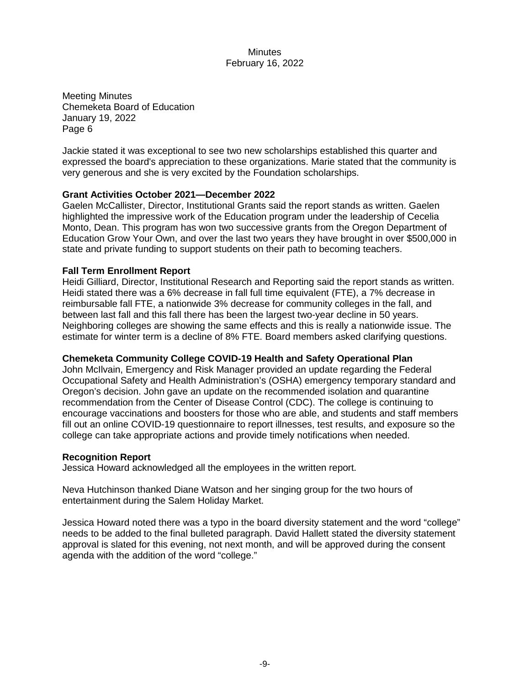Meeting Minutes Chemeketa Board of Education January 19, 2022 Page 6

Jackie stated it was exceptional to see two new scholarships established this quarter and expressed the board's appreciation to these organizations. Marie stated that the community is very generous and she is very excited by the Foundation scholarships.

## **Grant Activities October 2021—December 2022**

Gaelen McCallister, Director, Institutional Grants said the report stands as written. Gaelen highlighted the impressive work of the Education program under the leadership of Cecelia Monto, Dean. This program has won two successive grants from the Oregon Department of Education Grow Your Own, and over the last two years they have brought in over \$500,000 in state and private funding to support students on their path to becoming teachers.

## **Fall Term Enrollment Report**

Heidi Gilliard, Director, Institutional Research and Reporting said the report stands as written. Heidi stated there was a 6% decrease in fall full time equivalent (FTE), a 7% decrease in reimbursable fall FTE, a nationwide 3% decrease for community colleges in the fall, and between last fall and this fall there has been the largest two-year decline in 50 years. Neighboring colleges are showing the same effects and this is really a nationwide issue. The estimate for winter term is a decline of 8% FTE. Board members asked clarifying questions.

## **Chemeketa Community College COVID-19 Health and Safety Operational Plan**

John McIlvain, Emergency and Risk Manager provided an update regarding the Federal Occupational Safety and Health Administration's (OSHA) emergency temporary standard and Oregon's decision. John gave an update on the recommended isolation and quarantine recommendation from the Center of Disease Control (CDC). The college is continuing to encourage vaccinations and boosters for those who are able, and students and staff members fill out an online COVID-19 questionnaire to report illnesses, test results, and exposure so the college can take appropriate actions and provide timely notifications when needed.

## **Recognition Report**

Jessica Howard acknowledged all the employees in the written report.

Neva Hutchinson thanked Diane Watson and her singing group for the two hours of entertainment during the Salem Holiday Market.

Jessica Howard noted there was a typo in the board diversity statement and the word "college" needs to be added to the final bulleted paragraph. David Hallett stated the diversity statement approval is slated for this evening, not next month, and will be approved during the consent agenda with the addition of the word "college."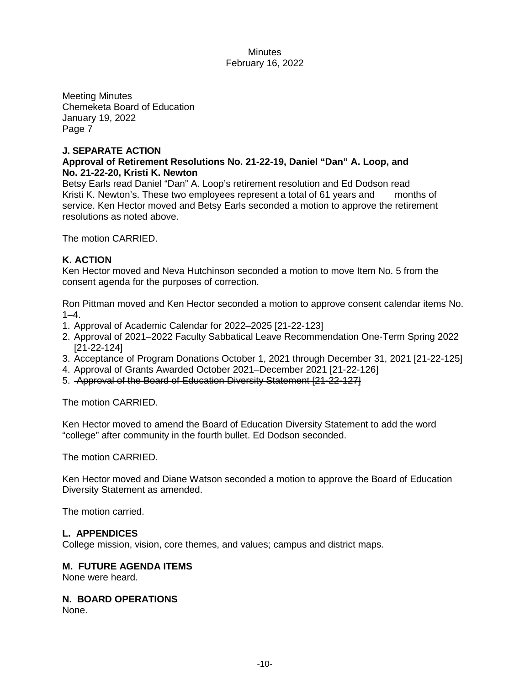Meeting Minutes Chemeketa Board of Education January 19, 2022 Page 7

## **J. SEPARATE ACTION**

## **Approval of Retirement Resolutions No. 21-22-19, Daniel "Dan" A. Loop, and No. 21-22-20, Kristi K. Newton**

Betsy Earls read Daniel "Dan" A. Loop's retirement resolution and Ed Dodson read Kristi K. Newton's. These two employees represent a total of 61 years and months of service. Ken Hector moved and Betsy Earls seconded a motion to approve the retirement resolutions as noted above.

The motion CARRIED.

## **K. ACTION**

Ken Hector moved and Neva Hutchinson seconded a motion to move Item No. 5 from the consent agenda for the purposes of correction.

Ron Pittman moved and Ken Hector seconded a motion to approve consent calendar items No.  $1 - 4.$ 

- 1. Approval of Academic Calendar for 2022–2025 [21-22-123]
- 2. Approval of 2021–2022 Faculty Sabbatical Leave Recommendation One-Term Spring 2022 [21-22-124]
- 3. Acceptance of Program Donations October 1, 2021 through December 31, 2021 [21-22-125]
- 4. Approval of Grants Awarded October 2021–December 2021 [21-22-126]
- 5. Approval of the Board of Education Diversity Statement [21-22-127]

The motion CARRIED.

Ken Hector moved to amend the Board of Education Diversity Statement to add the word "college" after community in the fourth bullet. Ed Dodson seconded.

The motion CARRIED.

Ken Hector moved and Diane Watson seconded a motion to approve the Board of Education Diversity Statement as amended.

The motion carried.

## **L. APPENDICES**

College mission, vision, core themes, and values; campus and district maps.

## **M. FUTURE AGENDA ITEMS**

None were heard.

**N. BOARD OPERATIONS**

None.